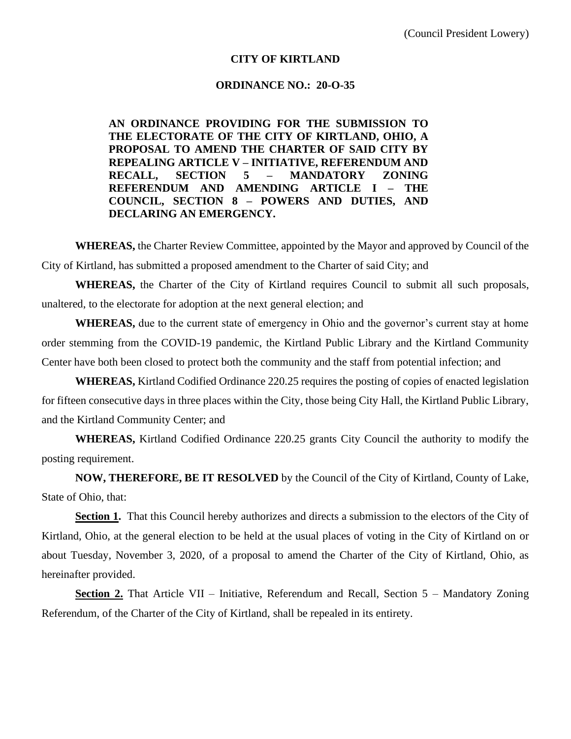## **CITY OF KIRTLAND**

#### **ORDINANCE NO.: 20-O-35**

**AN ORDINANCE PROVIDING FOR THE SUBMISSION TO THE ELECTORATE OF THE CITY OF KIRTLAND, OHIO, A PROPOSAL TO AMEND THE CHARTER OF SAID CITY BY REPEALING ARTICLE V – INITIATIVE, REFERENDUM AND RECALL, SECTION 5 – MANDATORY ZONING REFERENDUM AND AMENDING ARTICLE I – THE COUNCIL, SECTION 8 – POWERS AND DUTIES, AND DECLARING AN EMERGENCY.**

**WHEREAS,** the Charter Review Committee, appointed by the Mayor and approved by Council of the City of Kirtland, has submitted a proposed amendment to the Charter of said City; and

**WHEREAS,** the Charter of the City of Kirtland requires Council to submit all such proposals, unaltered, to the electorate for adoption at the next general election; and

**WHEREAS,** due to the current state of emergency in Ohio and the governor's current stay at home order stemming from the COVID-19 pandemic, the Kirtland Public Library and the Kirtland Community Center have both been closed to protect both the community and the staff from potential infection; and

**WHEREAS,** Kirtland Codified Ordinance 220.25 requires the posting of copies of enacted legislation for fifteen consecutive days in three places within the City, those being City Hall, the Kirtland Public Library, and the Kirtland Community Center; and

**WHEREAS,** Kirtland Codified Ordinance 220.25 grants City Council the authority to modify the posting requirement.

**NOW, THEREFORE, BE IT RESOLVED** by the Council of the City of Kirtland, County of Lake, State of Ohio, that:

**Section 1.** That this Council hereby authorizes and directs a submission to the electors of the City of Kirtland, Ohio, at the general election to be held at the usual places of voting in the City of Kirtland on or about Tuesday, November 3, 2020, of a proposal to amend the Charter of the City of Kirtland, Ohio, as hereinafter provided.

**Section 2.** That Article VII – Initiative, Referendum and Recall, Section 5 – Mandatory Zoning Referendum, of the Charter of the City of Kirtland, shall be repealed in its entirety.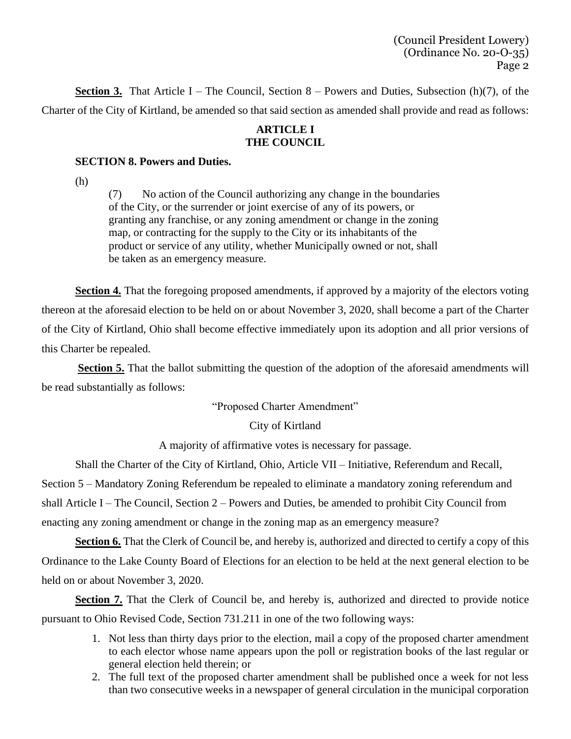(Council President Lowery) (Ordinance No. 20-O-35) Page 2

**Section 3.** That Article I – The Council, Section  $8$  – Powers and Duties, Subsection (h)(7), of the Charter of the City of Kirtland, be amended so that said section as amended shall provide and read as follows:

## **ARTICLE I THE COUNCIL**

## **SECTION 8. Powers and Duties.**

(h)

(7) No action of the Council authorizing any change in the boundaries of the City, or the surrender or joint exercise of any of its powers, or granting any franchise, or any zoning amendment or change in the zoning map, or contracting for the supply to the City or its inhabitants of the product or service of any utility, whether Municipally owned or not, shall be taken as an emergency measure.

**Section 4.** That the foregoing proposed amendments, if approved by a majority of the electors voting thereon at the aforesaid election to be held on or about November 3, 2020, shall become a part of the Charter of the City of Kirtland, Ohio shall become effective immediately upon its adoption and all prior versions of this Charter be repealed.

**Section 5.** That the ballot submitting the question of the adoption of the aforesaid amendments will be read substantially as follows:

"Proposed Charter Amendment"

# City of Kirtland

A majority of affirmative votes is necessary for passage.

Shall the Charter of the City of Kirtland, Ohio, Article VII – Initiative, Referendum and Recall, Section 5 – Mandatory Zoning Referendum be repealed to eliminate a mandatory zoning referendum and shall Article I – The Council, Section 2 – Powers and Duties, be amended to prohibit City Council from

enacting any zoning amendment or change in the zoning map as an emergency measure?

**Section 6.** That the Clerk of Council be, and hereby is, authorized and directed to certify a copy of this Ordinance to the Lake County Board of Elections for an election to be held at the next general election to be held on or about November 3, 2020.

Section 7. That the Clerk of Council be, and hereby is, authorized and directed to provide notice pursuant to Ohio Revised Code, Section 731.211 in one of the two following ways:

- 1. Not less than thirty days prior to the election, mail a copy of the proposed charter amendment to each elector whose name appears upon the poll or registration books of the last regular or general election held therein; or
- 2. The full text of the proposed charter amendment shall be published once a week for not less than two consecutive weeks in a newspaper of general circulation in the municipal corporation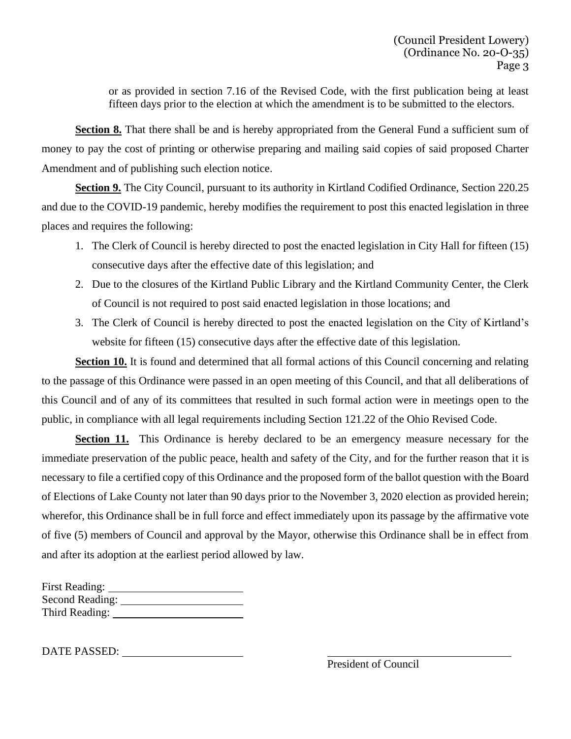or as provided in section 7.16 of the Revised Code, with the first publication being at least fifteen days prior to the election at which the amendment is to be submitted to the electors.

Section 8. That there shall be and is hereby appropriated from the General Fund a sufficient sum of money to pay the cost of printing or otherwise preparing and mailing said copies of said proposed Charter Amendment and of publishing such election notice.

**Section 9.** The City Council, pursuant to its authority in Kirtland Codified Ordinance, Section 220.25 and due to the COVID-19 pandemic, hereby modifies the requirement to post this enacted legislation in three places and requires the following:

- 1. The Clerk of Council is hereby directed to post the enacted legislation in City Hall for fifteen (15) consecutive days after the effective date of this legislation; and
- 2. Due to the closures of the Kirtland Public Library and the Kirtland Community Center, the Clerk of Council is not required to post said enacted legislation in those locations; and
- 3. The Clerk of Council is hereby directed to post the enacted legislation on the City of Kirtland's website for fifteen (15) consecutive days after the effective date of this legislation.

**Section 10.** It is found and determined that all formal actions of this Council concerning and relating to the passage of this Ordinance were passed in an open meeting of this Council, and that all deliberations of this Council and of any of its committees that resulted in such formal action were in meetings open to the public, in compliance with all legal requirements including Section 121.22 of the Ohio Revised Code.

**Section 11.** This Ordinance is hereby declared to be an emergency measure necessary for the immediate preservation of the public peace, health and safety of the City, and for the further reason that it is necessary to file a certified copy of this Ordinance and the proposed form of the ballot question with the Board of Elections of Lake County not later than 90 days prior to the November 3, 2020 election as provided herein; wherefor, this Ordinance shall be in full force and effect immediately upon its passage by the affirmative vote of five (5) members of Council and approval by the Mayor, otherwise this Ordinance shall be in effect from and after its adoption at the earliest period allowed by law.

| <b>First Reading:</b> |  |
|-----------------------|--|
| Second Reading:       |  |
| Third Reading:        |  |

DATE PASSED: